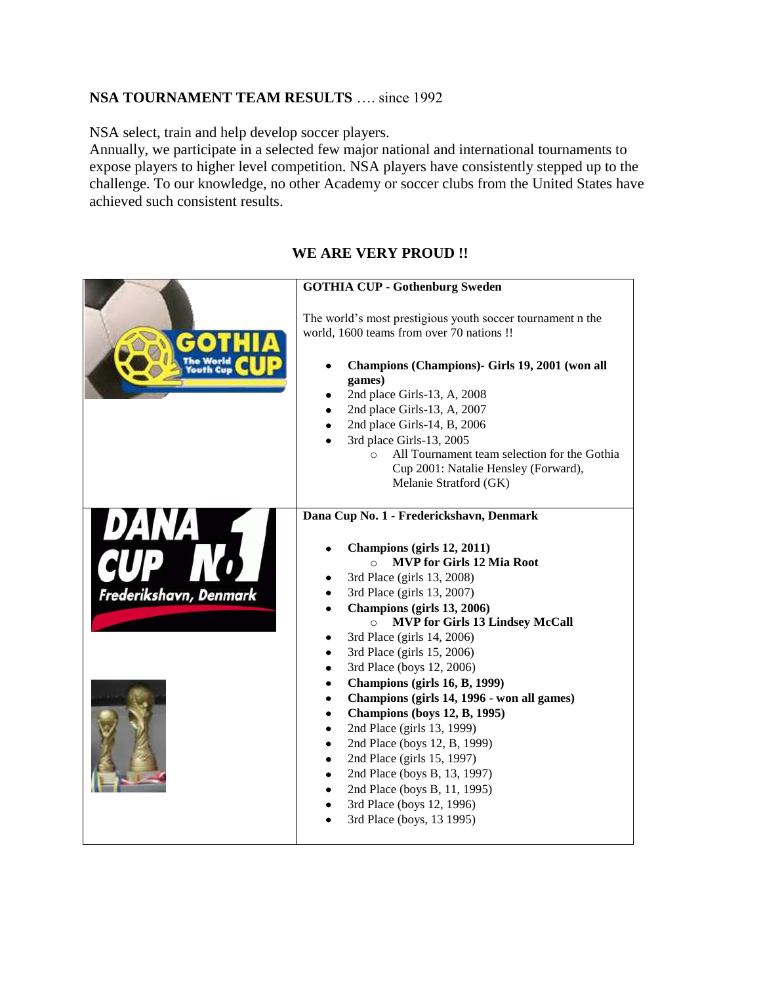## **NSA TOURNAMENT TEAM RESULTS** .... since 1992

NSA select, train and help develop soccer players.

Annually, we participate in a selected few major national and international tournaments to expose players to higher level competition. NSA players have consistently stepped up to the challenge. To our knowledge, no other Academy or soccer clubs from the United States have achieved such consistent results.

## **WE ARE VERY PROUD !!**

|                        | <b>GOTHIA CUP - Gothenburg Sweden</b>                                                                                                                                                                                                                                                                                                                                                                                                                                                                                                                                                                                                                                                                                     |
|------------------------|---------------------------------------------------------------------------------------------------------------------------------------------------------------------------------------------------------------------------------------------------------------------------------------------------------------------------------------------------------------------------------------------------------------------------------------------------------------------------------------------------------------------------------------------------------------------------------------------------------------------------------------------------------------------------------------------------------------------------|
|                        | The world's most prestigious youth soccer tournament n the<br>world, 1600 teams from over 70 nations !!<br>Champions (Champions) - Girls 19, 2001 (won all<br>games)<br>2nd place Girls-13, A, 2008<br>2nd place Girls-13, A, 2007<br>2nd place Girls-14, B, 2006<br>3rd place Girls-13, 2005<br>All Tournament team selection for the Gothia<br>$\Omega$<br>Cup 2001: Natalie Hensley (Forward),<br>Melanie Stratford (GK)                                                                                                                                                                                                                                                                                               |
| Frederikshavn, Denmark | Dana Cup No. 1 - Frederickshavn, Denmark<br>Champions (girls 12, 2011)<br><b>MVP</b> for Girls 12 Mia Root<br>$\Omega$<br>3rd Place (girls 13, 2008)<br>3rd Place (girls 13, 2007)<br>Champions (girls 13, 2006)<br><b>MVP for Girls 13 Lindsey McCall</b><br>$\circ$<br>3rd Place (girls 14, 2006)<br>3rd Place (girls 15, 2006)<br>3rd Place (boys 12, 2006)<br>٠<br>Champions (girls 16, B, 1999)<br>٠<br>Champions (girls 14, 1996 - won all games)<br>٠<br><b>Champions (boys 12, B, 1995)</b><br>2nd Place (girls 13, 1999)<br>2nd Place (boys 12, B, 1999)<br>2nd Place (girls 15, 1997)<br>2nd Place (boys B, 13, 1997)<br>2nd Place (boys B, 11, 1995)<br>3rd Place (boys 12, 1996)<br>3rd Place (boys, 13 1995) |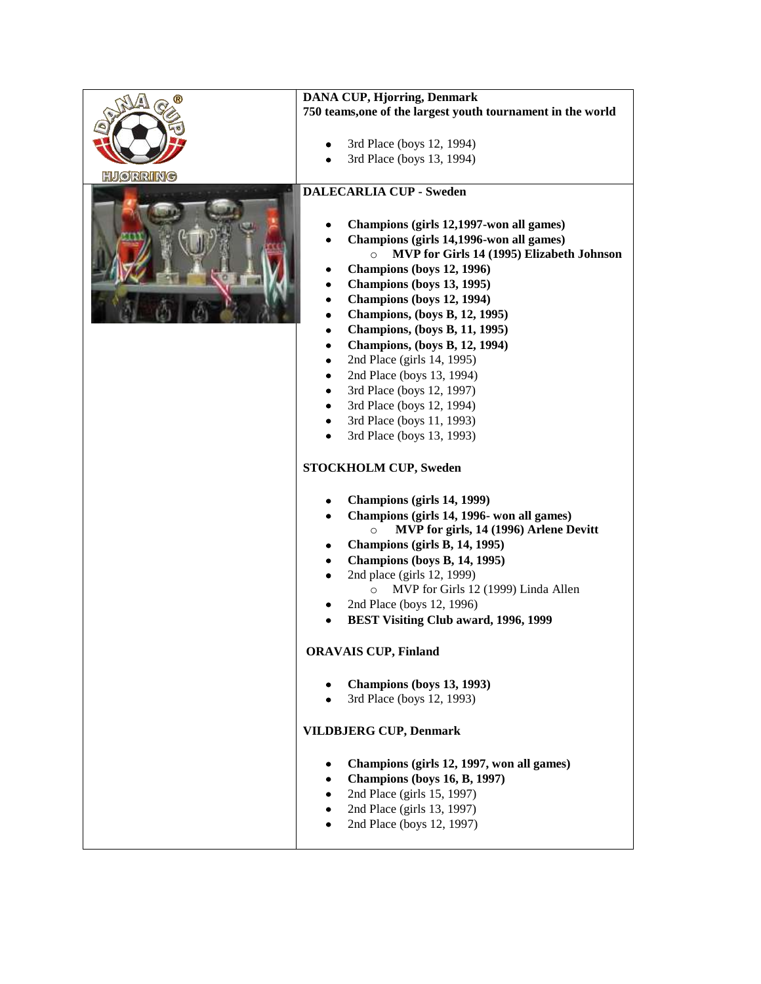